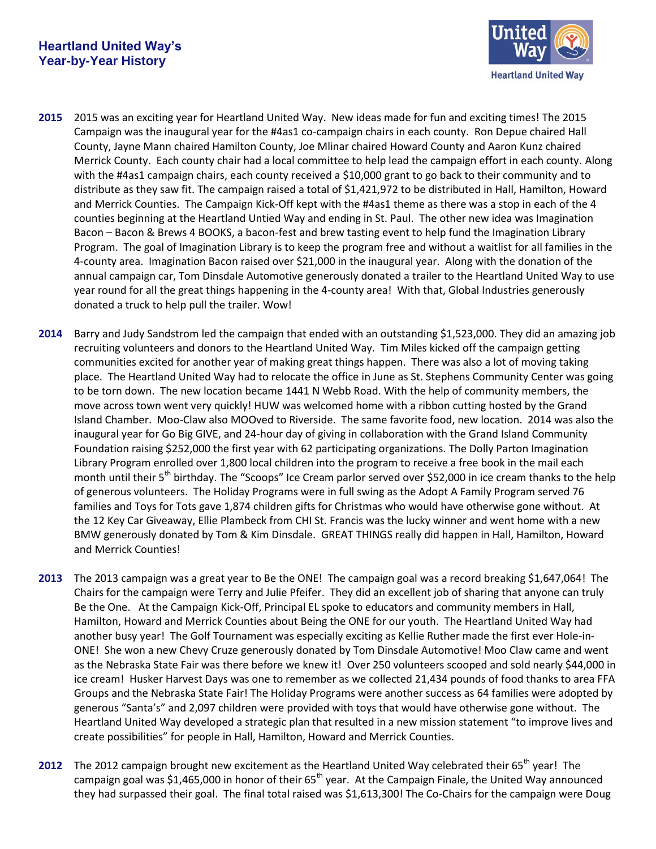

- **2015** 2015 was an exciting year for Heartland United Way. New ideas made for fun and exciting times! The 2015 Campaign was the inaugural year for the #4as1 co-campaign chairs in each county. Ron Depue chaired Hall County, Jayne Mann chaired Hamilton County, Joe Mlinar chaired Howard County and Aaron Kunz chaired Merrick County. Each county chair had a local committee to help lead the campaign effort in each county. Along with the #4as1 campaign chairs, each county received a \$10,000 grant to go back to their community and to distribute as they saw fit. The campaign raised a total of \$1,421,972 to be distributed in Hall, Hamilton, Howard and Merrick Counties. The Campaign Kick-Off kept with the #4as1 theme as there was a stop in each of the 4 counties beginning at the Heartland Untied Way and ending in St. Paul. The other new idea was Imagination Bacon – Bacon & Brews 4 BOOKS, a bacon-fest and brew tasting event to help fund the Imagination Library Program. The goal of Imagination Library is to keep the program free and without a waitlist for all families in the 4-county area. Imagination Bacon raised over \$21,000 in the inaugural year. Along with the donation of the annual campaign car, Tom Dinsdale Automotive generously donated a trailer to the Heartland United Way to use year round for all the great things happening in the 4-county area! With that, Global Industries generously donated a truck to help pull the trailer. Wow!
- **2014** Barry and Judy Sandstrom led the campaign that ended with an outstanding \$1,523,000. They did an amazing job recruiting volunteers and donors to the Heartland United Way. Tim Miles kicked off the campaign getting communities excited for another year of making great things happen. There was also a lot of moving taking place. The Heartland United Way had to relocate the office in June as St. Stephens Community Center was going to be torn down. The new location became 1441 N Webb Road. With the help of community members, the move across town went very quickly! HUW was welcomed home with a ribbon cutting hosted by the Grand Island Chamber. Moo-Claw also MOOved to Riverside. The same favorite food, new location. 2014 was also the inaugural year for Go Big GIVE, and 24-hour day of giving in collaboration with the Grand Island Community Foundation raising \$252,000 the first year with 62 participating organizations. The Dolly Parton Imagination Library Program enrolled over 1,800 local children into the program to receive a free book in the mail each month until their 5<sup>th</sup> birthday. The "Scoops" Ice Cream parlor served over \$52,000 in ice cream thanks to the help of generous volunteers. The Holiday Programs were in full swing as the Adopt A Family Program served 76 families and Toys for Tots gave 1,874 children gifts for Christmas who would have otherwise gone without. At the 12 Key Car Giveaway, Ellie Plambeck from CHI St. Francis was the lucky winner and went home with a new BMW generously donated by Tom & Kim Dinsdale. GREAT THINGS really did happen in Hall, Hamilton, Howard and Merrick Counties!
- **2013** The 2013 campaign was a great year to Be the ONE! The campaign goal was a record breaking \$1,647,064! The Chairs for the campaign were Terry and Julie Pfeifer. They did an excellent job of sharing that anyone can truly Be the One. At the Campaign Kick-Off, Principal EL spoke to educators and community members in Hall, Hamilton, Howard and Merrick Counties about Being the ONE for our youth. The Heartland United Way had another busy year! The Golf Tournament was especially exciting as Kellie Ruther made the first ever Hole-in-ONE! She won a new Chevy Cruze generously donated by Tom Dinsdale Automotive! Moo Claw came and went as the Nebraska State Fair was there before we knew it! Over 250 volunteers scooped and sold nearly \$44,000 in ice cream! Husker Harvest Days was one to remember as we collected 21,434 pounds of food thanks to area FFA Groups and the Nebraska State Fair! The Holiday Programs were another success as 64 families were adopted by generous "Santa's" and 2,097 children were provided with toys that would have otherwise gone without. The Heartland United Way developed a strategic plan that resulted in a new mission statement "to improve lives and create possibilities" for people in Hall, Hamilton, Howard and Merrick Counties.
- **2012** The 2012 campaign brought new excitement as the Heartland United Way celebrated their 65<sup>th</sup> year! The campaign goal was \$1,465,000 in honor of their  $65<sup>th</sup>$  year. At the Campaign Finale, the United Way announced they had surpassed their goal. The final total raised was \$1,613,300! The Co-Chairs for the campaign were Doug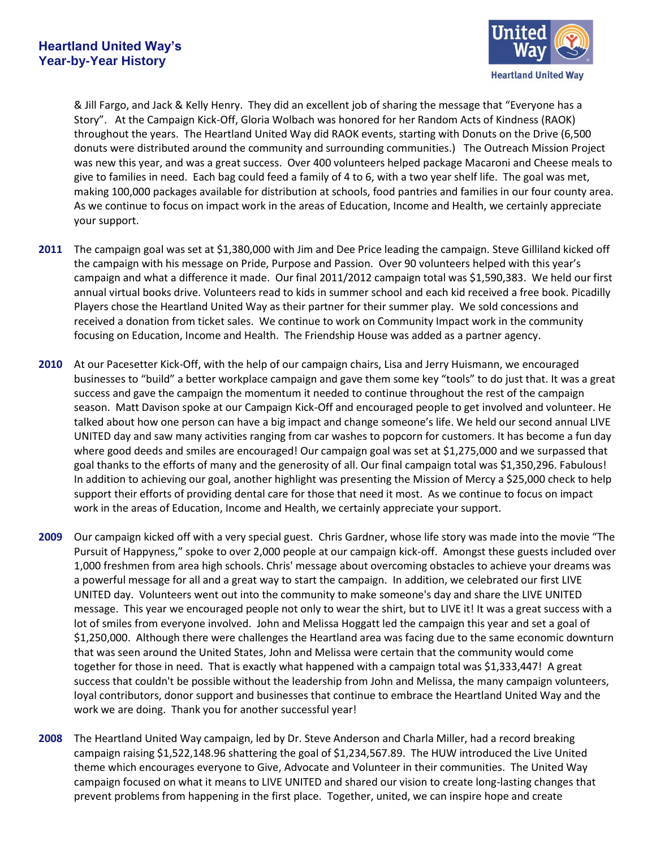

& Jill Fargo, and Jack & Kelly Henry. They did an excellent job of sharing the message that "Everyone has a Story". At the Campaign Kick-Off, Gloria Wolbach was honored for her Random Acts of Kindness (RAOK) throughout the years. The Heartland United Way did RAOK events, starting with Donuts on the Drive (6,500 donuts were distributed around the community and surrounding communities.) The Outreach Mission Project was new this year, and was a great success. Over 400 volunteers helped package Macaroni and Cheese meals to give to families in need. Each bag could feed a family of 4 to 6, with a two year shelf life. The goal was met, making 100,000 packages available for distribution at schools, food pantries and families in our four county area. As we continue to focus on impact work in the areas of Education, Income and Health, we certainly appreciate your support.

- **2011** The campaign goal was set at \$1,380,000 with Jim and Dee Price leading the campaign. Steve Gilliland kicked off the campaign with his message on Pride, Purpose and Passion. Over 90 volunteers helped with this year's campaign and what a difference it made. Our final 2011/2012 campaign total was \$1,590,383. We held our first annual virtual books drive. Volunteers read to kids in summer school and each kid received a free book. Picadilly Players chose the Heartland United Way as their partner for their summer play. We sold concessions and received a donation from ticket sales. We continue to work on Community Impact work in the community focusing on Education, Income and Health. The Friendship House was added as a partner agency.
- **2010** At our Pacesetter Kick-Off, with the help of our campaign chairs, Lisa and Jerry Huismann, we encouraged businesses to "build" a better workplace campaign and gave them some key "tools" to do just that. It was a great success and gave the campaign the momentum it needed to continue throughout the rest of the campaign season. Matt Davison spoke at our Campaign Kick-Off and encouraged people to get involved and volunteer. He talked about how one person can have a big impact and change someone's life. We held our second annual LIVE UNITED day and saw many activities ranging from car washes to popcorn for customers. It has become a fun day where good deeds and smiles are encouraged! Our campaign goal was set at \$1,275,000 and we surpassed that goal thanks to the efforts of many and the generosity of all. Our final campaign total was \$1,350,296. Fabulous! In addition to achieving our goal, another highlight was presenting the Mission of Mercy a \$25,000 check to help support their efforts of providing dental care for those that need it most. As we continue to focus on impact work in the areas of Education, Income and Health, we certainly appreciate your support.
- **2009** Our campaign kicked off with a very special guest. Chris Gardner, whose life story was made into the movie "The Pursuit of Happyness," spoke to over 2,000 people at our campaign kick-off. Amongst these guests included over 1,000 freshmen from area high schools. Chris' message about overcoming obstacles to achieve your dreams was a powerful message for all and a great way to start the campaign. In addition, we celebrated our first LIVE UNITED day. Volunteers went out into the community to make someone's day and share the LIVE UNITED message. This year we encouraged people not only to wear the shirt, but to LIVE it! It was a great success with a lot of smiles from everyone involved. John and Melissa Hoggatt led the campaign this year and set a goal of \$1,250,000. Although there were challenges the Heartland area was facing due to the same economic downturn that was seen around the United States, John and Melissa were certain that the community would come together for those in need. That is exactly what happened with a campaign total was \$1,333,447! A great success that couldn't be possible without the leadership from John and Melissa, the many campaign volunteers, loyal contributors, donor support and businesses that continue to embrace the Heartland United Way and the work we are doing. Thank you for another successful year!
- **2008** The Heartland United Way campaign, led by Dr. Steve Anderson and Charla Miller, had a record breaking campaign raising \$1,522,148.96 shattering the goal of \$1,234,567.89. The HUW introduced the Live United theme which encourages everyone to Give, Advocate and Volunteer in their communities. The United Way campaign focused on what it means to LIVE UNITED and shared our vision to create long-lasting changes that prevent problems from happening in the first place. Together, united, we can inspire hope and create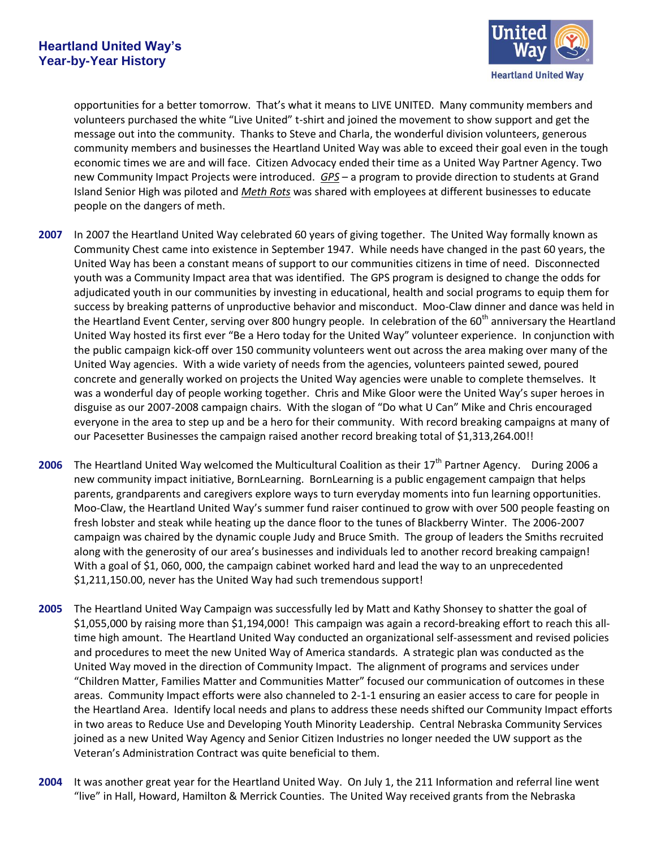

opportunities for a better tomorrow. That's what it means to LIVE UNITED. Many community members and volunteers purchased the white "Live United" t-shirt and joined the movement to show support and get the message out into the community. Thanks to Steve and Charla, the wonderful division volunteers, generous community members and businesses the Heartland United Way was able to exceed their goal even in the tough economic times we are and will face. Citizen Advocacy ended their time as a United Way Partner Agency. Two new Community Impact Projects were introduced. *GPS* – a program to provide direction to students at Grand Island Senior High was piloted and *Meth Rots* was shared with employees at different businesses to educate people on the dangers of meth.

- **2007** In 2007 the Heartland United Way celebrated 60 years of giving together. The United Way formally known as Community Chest came into existence in September 1947. While needs have changed in the past 60 years, the United Way has been a constant means of support to our communities citizens in time of need. Disconnected youth was a Community Impact area that was identified. The GPS program is designed to change the odds for adjudicated youth in our communities by investing in educational, health and social programs to equip them for success by breaking patterns of unproductive behavior and misconduct. Moo-Claw dinner and dance was held in the Heartland Event Center, serving over 800 hungry people. In celebration of the 60<sup>th</sup> anniversary the Heartland United Way hosted its first ever "Be a Hero today for the United Way" volunteer experience. In conjunction with the public campaign kick-off over 150 community volunteers went out across the area making over many of the United Way agencies. With a wide variety of needs from the agencies, volunteers painted sewed, poured concrete and generally worked on projects the United Way agencies were unable to complete themselves. It was a wonderful day of people working together. Chris and Mike Gloor were the United Way's super heroes in disguise as our 2007-2008 campaign chairs. With the slogan of "Do what U Can" Mike and Chris encouraged everyone in the area to step up and be a hero for their community. With record breaking campaigns at many of our Pacesetter Businesses the campaign raised another record breaking total of \$1,313,264.00!!
- **2006** The Heartland United Way welcomed the Multicultural Coalition as their 17<sup>th</sup> Partner Agency. During 2006 a new community impact initiative, BornLearning. BornLearning is a public engagement campaign that helps parents, grandparents and caregivers explore ways to turn everyday moments into fun learning opportunities. Moo-Claw, the Heartland United Way's summer fund raiser continued to grow with over 500 people feasting on fresh lobster and steak while heating up the dance floor to the tunes of Blackberry Winter. The 2006-2007 campaign was chaired by the dynamic couple Judy and Bruce Smith. The group of leaders the Smiths recruited along with the generosity of our area's businesses and individuals led to another record breaking campaign! With a goal of \$1, 060, 000, the campaign cabinet worked hard and lead the way to an unprecedented \$1,211,150.00, never has the United Way had such tremendous support!
- **2005** The Heartland United Way Campaign was successfully led by Matt and Kathy Shonsey to shatter the goal of \$1,055,000 by raising more than \$1,194,000! This campaign was again a record-breaking effort to reach this alltime high amount. The Heartland United Way conducted an organizational self-assessment and revised policies and procedures to meet the new United Way of America standards. A strategic plan was conducted as the United Way moved in the direction of Community Impact. The alignment of programs and services under "Children Matter, Families Matter and Communities Matter" focused our communication of outcomes in these areas. Community Impact efforts were also channeled to 2-1-1 ensuring an easier access to care for people in the Heartland Area. Identify local needs and plans to address these needs shifted our Community Impact efforts in two areas to Reduce Use and Developing Youth Minority Leadership. Central Nebraska Community Services joined as a new United Way Agency and Senior Citizen Industries no longer needed the UW support as the Veteran's Administration Contract was quite beneficial to them.
- **2004** It was another great year for the Heartland United Way. On July 1, the 211 Information and referral line went "live" in Hall, Howard, Hamilton & Merrick Counties. The United Way received grants from the Nebraska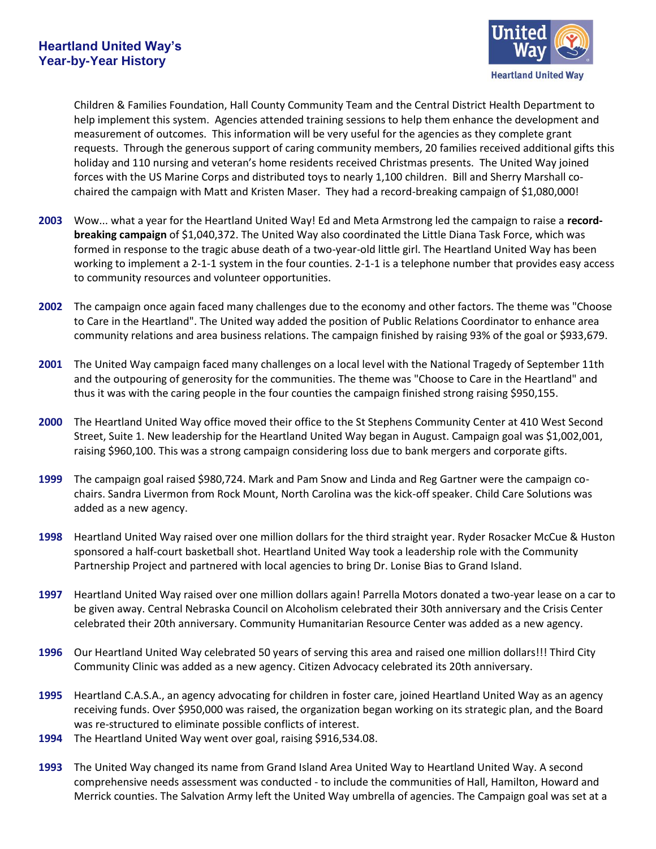

Children & Families Foundation, Hall County Community Team and the Central District Health Department to help implement this system. Agencies attended training sessions to help them enhance the development and measurement of outcomes. This information will be very useful for the agencies as they complete grant requests. Through the generous support of caring community members, 20 families received additional gifts this holiday and 110 nursing and veteran's home residents received Christmas presents. The United Way joined forces with the US Marine Corps and distributed toys to nearly 1,100 children. Bill and Sherry Marshall cochaired the campaign with Matt and Kristen Maser. They had a record-breaking campaign of \$1,080,000!

- **2003** Wow... what a year for the Heartland United Way! Ed and Meta Armstrong led the campaign to raise a **recordbreaking campaign** of \$1,040,372. The United Way also coordinated the Little Diana Task Force, which was formed in response to the tragic abuse death of a two-year-old little girl. The Heartland United Way has been working to implement a 2-1-1 system in the four counties. 2-1-1 is a telephone number that provides easy access to community resources and volunteer opportunities.
- **2002** The campaign once again faced many challenges due to the economy and other factors. The theme was "Choose to Care in the Heartland". The United way added the position of Public Relations Coordinator to enhance area community relations and area business relations. The campaign finished by raising 93% of the goal or \$933,679.
- **2001** The United Way campaign faced many challenges on a local level with the National Tragedy of September 11th and the outpouring of generosity for the communities. The theme was "Choose to Care in the Heartland" and thus it was with the caring people in the four counties the campaign finished strong raising \$950,155.
- **2000** The Heartland United Way office moved their office to the St Stephens Community Center at 410 West Second Street, Suite 1. New leadership for the Heartland United Way began in August. Campaign goal was \$1,002,001, raising \$960,100. This was a strong campaign considering loss due to bank mergers and corporate gifts.
- **1999** The campaign goal raised \$980,724. Mark and Pam Snow and Linda and Reg Gartner were the campaign cochairs. Sandra Livermon from Rock Mount, North Carolina was the kick-off speaker. Child Care Solutions was added as a new agency.
- **1998** Heartland United Way raised over one million dollars for the third straight year. Ryder Rosacker McCue & Huston sponsored a half-court basketball shot. Heartland United Way took a leadership role with the Community Partnership Project and partnered with local agencies to bring Dr. Lonise Bias to Grand Island.
- **1997** Heartland United Way raised over one million dollars again! Parrella Motors donated a two-year lease on a car to be given away. Central Nebraska Council on Alcoholism celebrated their 30th anniversary and the Crisis Center celebrated their 20th anniversary. Community Humanitarian Resource Center was added as a new agency.
- **1996** Our Heartland United Way celebrated 50 years of serving this area and raised one million dollars!!! Third City Community Clinic was added as a new agency. Citizen Advocacy celebrated its 20th anniversary.
- **1995** Heartland C.A.S.A., an agency advocating for children in foster care, joined Heartland United Way as an agency receiving funds. Over \$950,000 was raised, the organization began working on its strategic plan, and the Board was re-structured to eliminate possible conflicts of interest.
- **1994** The Heartland United Way went over goal, raising \$916,534.08.
- **1993** The United Way changed its name from Grand Island Area United Way to Heartland United Way. A second comprehensive needs assessment was conducted - to include the communities of Hall, Hamilton, Howard and Merrick counties. The Salvation Army left the United Way umbrella of agencies. The Campaign goal was set at a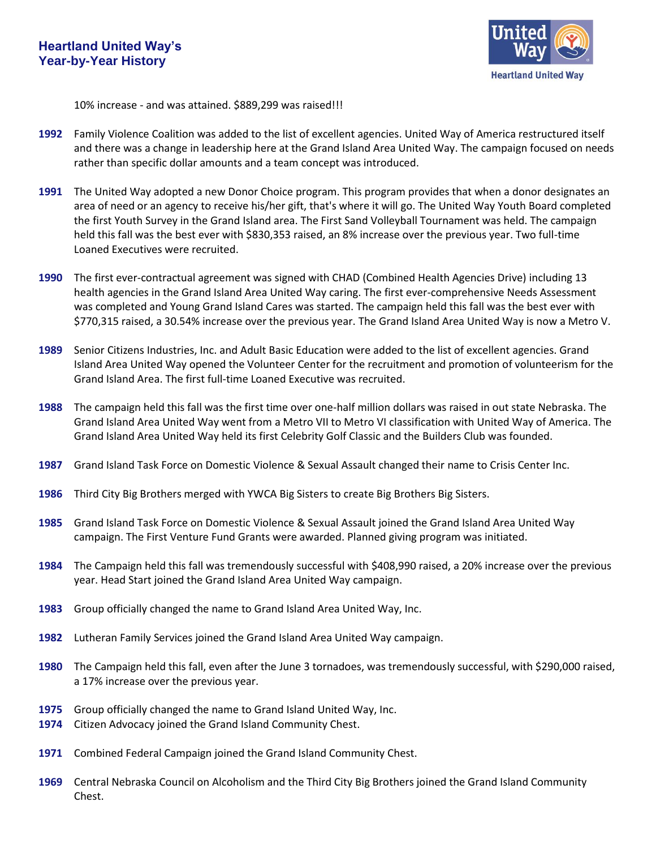

10% increase - and was attained. \$889,299 was raised!!!

- **1992** Family Violence Coalition was added to the list of excellent agencies. United Way of America restructured itself and there was a change in leadership here at the Grand Island Area United Way. The campaign focused on needs rather than specific dollar amounts and a team concept was introduced.
- **1991** The United Way adopted a new Donor Choice program. This program provides that when a donor designates an area of need or an agency to receive his/her gift, that's where it will go. The United Way Youth Board completed the first Youth Survey in the Grand Island area. The First Sand Volleyball Tournament was held. The campaign held this fall was the best ever with \$830,353 raised, an 8% increase over the previous year. Two full-time Loaned Executives were recruited.
- **1990** The first ever-contractual agreement was signed with CHAD (Combined Health Agencies Drive) including 13 health agencies in the Grand Island Area United Way caring. The first ever-comprehensive Needs Assessment was completed and Young Grand Island Cares was started. The campaign held this fall was the best ever with \$770,315 raised, a 30.54% increase over the previous year. The Grand Island Area United Way is now a Metro V.
- **1989** Senior Citizens Industries, Inc. and Adult Basic Education were added to the list of excellent agencies. Grand Island Area United Way opened the Volunteer Center for the recruitment and promotion of volunteerism for the Grand Island Area. The first full-time Loaned Executive was recruited.
- **1988** The campaign held this fall was the first time over one-half million dollars was raised in out state Nebraska. The Grand Island Area United Way went from a Metro VII to Metro VI classification with United Way of America. The Grand Island Area United Way held its first Celebrity Golf Classic and the Builders Club was founded.
- **1987** Grand Island Task Force on Domestic Violence & Sexual Assault changed their name to Crisis Center Inc.
- **1986** Third City Big Brothers merged with YWCA Big Sisters to create Big Brothers Big Sisters.
- **1985** Grand Island Task Force on Domestic Violence & Sexual Assault joined the Grand Island Area United Way campaign. The First Venture Fund Grants were awarded. Planned giving program was initiated.
- **1984** The Campaign held this fall was tremendously successful with \$408,990 raised, a 20% increase over the previous year. Head Start joined the Grand Island Area United Way campaign.
- **1983** Group officially changed the name to Grand Island Area United Way, Inc.
- **1982** Lutheran Family Services joined the Grand Island Area United Way campaign.
- **1980** The Campaign held this fall, even after the June 3 tornadoes, was tremendously successful, with \$290,000 raised, a 17% increase over the previous year.
- **1975** Group officially changed the name to Grand Island United Way, Inc.
- **1974** Citizen Advocacy joined the Grand Island Community Chest.
- **1971** Combined Federal Campaign joined the Grand Island Community Chest.
- **1969** Central Nebraska Council on Alcoholism and the Third City Big Brothers joined the Grand Island Community Chest.